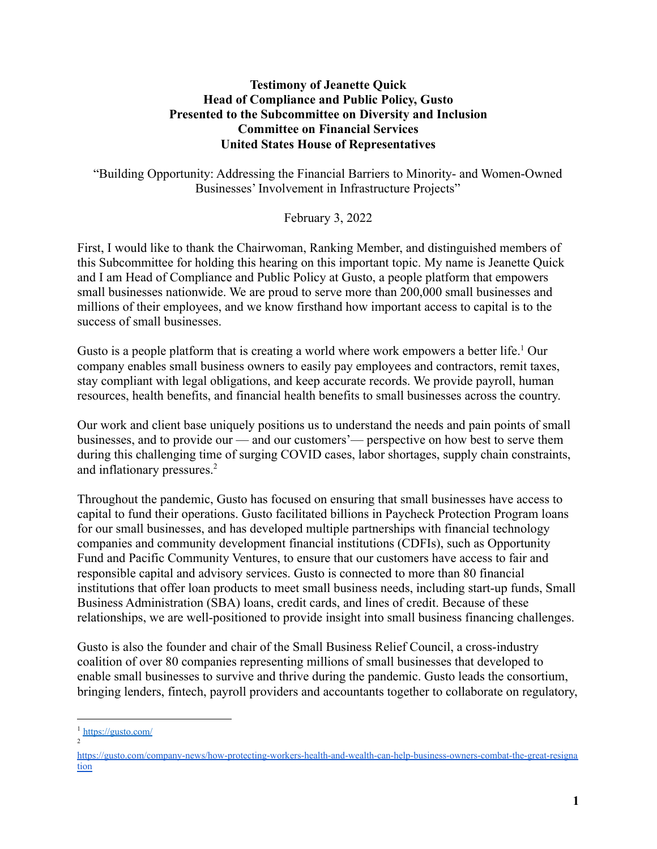#### **Testimony of Jeanette Quick Head of Compliance and Public Policy, Gusto Presented to the Subcommittee on Diversity and Inclusion Committee on Financial Services United States House of Representatives**

"Building Opportunity: Addressing the Financial Barriers to Minority- and Women-Owned Businesses' Involvement in Infrastructure Projects"

February 3, 2022

First, I would like to thank the Chairwoman, Ranking Member, and distinguished members of this Subcommittee for holding this hearing on this important topic. My name is Jeanette Quick and I am Head of Compliance and Public Policy at Gusto, a people platform that empowers small businesses nationwide. We are proud to serve more than 200,000 small businesses and millions of their employees, and we know firsthand how important access to capital is to the success of small businesses.

Gusto is a people platform that is creating a world where work empowers a better life.<sup>1</sup> Our company enables small business owners to easily pay employees and contractors, remit taxes, stay compliant with legal obligations, and keep accurate records. We provide payroll, human resources, health benefits, and financial health benefits to small businesses across the country.

Our work and client base uniquely positions us to understand the needs and pain points of small businesses, and to provide our — and our customers'— perspective on how best to serve them during this challenging time of surging COVID cases, labor shortages, supply chain constraints, and inflationary pressures.<sup>2</sup>

Throughout the pandemic, Gusto has focused on ensuring that small businesses have access to capital to fund their operations. Gusto facilitated billions in Paycheck Protection Program loans for our small businesses, and has developed multiple partnerships with financial technology companies and community development financial institutions (CDFIs), such as Opportunity Fund and Pacific Community Ventures, to ensure that our customers have access to fair and responsible capital and advisory services. Gusto is connected to more than 80 financial institutions that offer loan products to meet small business needs, including start-up funds, Small Business Administration (SBA) loans, credit cards, and lines of credit. Because of these relationships, we are well-positioned to provide insight into small business financing challenges.

Gusto is also the founder and chair of the Small Business Relief Council, a cross-industry coalition of over 80 companies representing millions of small businesses that developed to enable small businesses to survive and thrive during the pandemic. Gusto leads the consortium, bringing lenders, fintech, payroll providers and accountants together to collaborate on regulatory,

<sup>2</sup> <sup>1</sup> <https://gusto.com/>

[https://gusto.com/company-news/how-protecting-workers-health-and-wealth-can-help-business-owners-combat-the-great-resigna](https://gusto.com/company-news/how-protecting-workers-health-and-wealth-can-help-business-owners-combat-the-great-resignation) [tion](https://gusto.com/company-news/how-protecting-workers-health-and-wealth-can-help-business-owners-combat-the-great-resignation)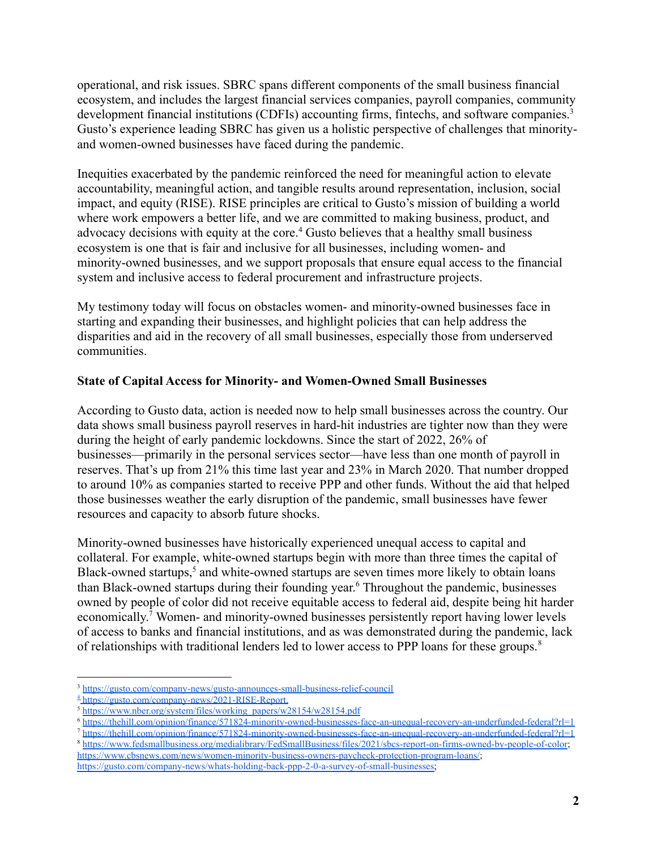operational, and risk issues. SBRC spans different components of the small business financial ecosystem, and includes the largest financial services companies, payroll companies, community development financial institutions (CDFIs) accounting firms, fintechs, and software companies.<sup>3</sup> Gusto's experience leading SBRC has given us a holistic perspective of challenges that minorityand women-owned businesses have faced during the pandemic.

Inequities exacerbated by the pandemic reinforced the need for meaningful action to elevate accountability, meaningful action, and tangible results around representation, inclusion, social impact, and equity (RISE). RISE principles are critical to Gusto's mission of building a world where work empowers a better life, and we are committed to making business, product, and advocacy decisions with equity at the core.<sup>4</sup> Gusto believes that a healthy small business ecosystem is one that is fair and inclusive for all businesses, including women- and minority-owned businesses, and we support proposals that ensure equal access to the financial system and inclusive access to federal procurement and infrastructure projects.

My testimony today will focus on obstacles women- and minority-owned businesses face in starting and expanding their businesses, and highlight policies that can help address the disparities and aid in the recovery of all small businesses, especially those from underserved communities.

### **State of Capital Access for Minority- and Women-Owned Small Businesses**

According to Gusto data, action is needed now to help small businesses across the country. Our data shows small business payroll reserves in hard-hit industries are tighter now than they were during the height of early pandemic lockdowns. Since the start of 2022, 26% of businesses—primarily in the personal services sector—have less than one month of payroll in reserves. That's up from 21% this time last year and 23% in March 2020. That number dropped to around 10% as companies started to receive PPP and other funds. Without the aid that helped those businesses weather the early disruption of the pandemic, small businesses have fewer resources and capacity to absorb future shocks.

Minority-owned businesses have historically experienced unequal access to capital and collateral. For example, white-owned startups begin with more than three times the capital of Black-owned startups, $<sup>5</sup>$  and white-owned startups are seven times more likely to obtain loans</sup> than Black-owned startups during their founding year. <sup>6</sup> Throughout the pandemic, businesses owned by people of color did not receive equitable access to federal aid, despite being hit harder economically.<sup>7</sup> Women- and minority-owned businesses persistently report having lower levels of access to banks and financial institutions, and as was demonstrated during the pandemic, lack of relationships with traditional lenders led to lower access to PPP loans for these groups.<sup>8</sup>

<sup>3</sup> <https://gusto.com/company-news/gusto-announces-small-business-relief-council>

<sup>4</sup> https://gusto.com/company-news/2021-RISE-Report.

<sup>5</sup> [https://www.nber.org/system/files/working\\_papers/w28154/w28154.pdf](https://www.nber.org/system/files/working_papers/w28154/w28154.pdf)

<sup>6</sup> <https://thehill.com/opinion/finance/571824-minority-owned-businesses-face-an-unequal-recovery-an-underfunded-federal?rl=1>

<sup>8</sup> <https://www.fedsmallbusiness.org/medialibrary/FedSmallBusiness/files/2021/sbcs-report-on-firms-owned-by-people-of-color>; <https://www.cbsnews.com/news/women-minority-business-owners-paycheck-protection-program-loans/>; [https://gusto.com/company-news/whats-holding-back-ppp-2-0-a-survey-of-small-businesses;](https://gusto.com/company-news/whats-holding-back-ppp-2-0-a-survey-of-small-businesses) <sup>7</sup> <https://thehill.com/opinion/finance/571824-minority-owned-businesses-face-an-unequal-recovery-an-underfunded-federal?rl=1>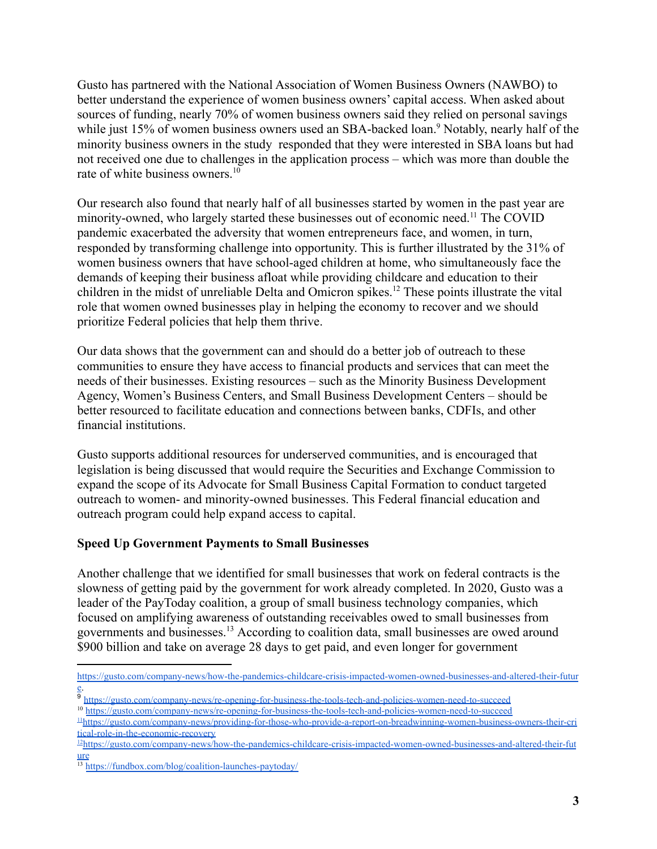Gusto has partnered with the National Association of Women Business Owners (NAWBO) to better understand the experience of women business owners' capital access. When asked about sources of funding, nearly 70% of women business owners said they relied on personal savings while just 15% of women business owners used an SBA-backed loan.<sup>9</sup> Notably, nearly half of the minority business owners in the study responded that they were interested in SBA loans but had not received one due to challenges in the application process – which was more than double the rate of white business owners. $10<sup>10</sup>$ 

Our research also found that nearly half of all businesses started by women in the past year are minority-owned, who largely started these businesses out of economic need.<sup>11</sup> The COVID pandemic exacerbated the adversity that women entrepreneurs face, and women, in turn, responded by transforming challenge into opportunity. This is further illustrated by the 31% of women business owners that have school-aged children at home, who simultaneously face the demands of keeping their business afloat while providing childcare and education to their children in the midst of unreliable Delta and Omicron spikes.<sup>12</sup> These points illustrate the vital role that women owned businesses play in helping the economy to recover and we should prioritize Federal policies that help them thrive.

Our data shows that the government can and should do a better job of outreach to these communities to ensure they have access to financial products and services that can meet the needs of their businesses. Existing resources – such as the Minority Business Development Agency, Women's Business Centers, and Small Business Development Centers – should be better resourced to facilitate education and connections between banks, CDFIs, and other financial institutions.

Gusto supports additional resources for underserved communities, and is encouraged that legislation is being discussed that would require the Securities and Exchange Commission to expand the scope of its Advocate for Small Business Capital Formation to conduct targeted outreach to women- and minority-owned businesses. This Federal financial education and outreach program could help expand access to capital.

### **Speed Up Government Payments to Small Businesses**

Another challenge that we identified for small businesses that work on federal contracts is the slowness of getting paid by the government for work already completed. In 2020, Gusto was a leader of the PayToday coalition, a group of small business technology companies, which focused on amplifying awareness of outstanding receivables owed to small businesses from governments and businesses.<sup>13</sup> According to coalition data, small businesses are owed around \$900 billion and take on average 28 days to get paid, and even longer for government

[https://gusto.com/company-news/how-the-pandemics-childcare-crisis-impacted-women-owned-businesses-and-altered-their-futur](https://gusto.com/company-news/how-the-pandemics-childcare-crisis-impacted-women-owned-businesses-and-altered-their-future) [e.](https://gusto.com/company-news/how-the-pandemics-childcare-crisis-impacted-women-owned-businesses-and-altered-their-future)

<sup>10</sup> <https://gusto.com/company-news/re-opening-for-business-the-tools-tech-and-policies-women-need-to-succeed> <sup>9</sup> <https://gusto.com/company-news/re-opening-for-business-the-tools-tech-and-policies-women-need-to-succeed>

<sup>11</sup>[https://gusto.com/company-news/providing-for-those-who-provide-a-report-on-breadwinning-women-business-owners-their-cri](https://gusto.com/company-news/providing-for-those-who-provide-a-report-on-breadwinning-women-business-owners-their-critical-role-in-the-economic-recovery) [tical-role-in-the-economic-recovery](https://gusto.com/company-news/providing-for-those-who-provide-a-report-on-breadwinning-women-business-owners-their-critical-role-in-the-economic-recovery)

 $12$ [https://gusto.com/company-news/how-the-pandemics-childcare-crisis-impacted-women-owned-businesses-and-altered-their-fut](https://gusto.com/company-news/how-the-pandemics-childcare-crisis-impacted-women-owned-businesses-and-altered-their-future) [ure](https://gusto.com/company-news/how-the-pandemics-childcare-crisis-impacted-women-owned-businesses-and-altered-their-future)

 $\frac{13 \text{ https://fundbox.com/blog/coalition-launches-paytoday/}}{13 \text{ https://fundbox.com/blog/coalition-launches-paytoday/}}$  $\frac{13 \text{ https://fundbox.com/blog/coalition-launches-paytoday/}}{13 \text{ https://fundbox.com/blog/coalition-launches-paytoday/}}$  $\frac{13 \text{ https://fundbox.com/blog/coalition-launches-paytoday/}}{13 \text{ https://fundbox.com/blog/coalition-launches-paytoday/}}$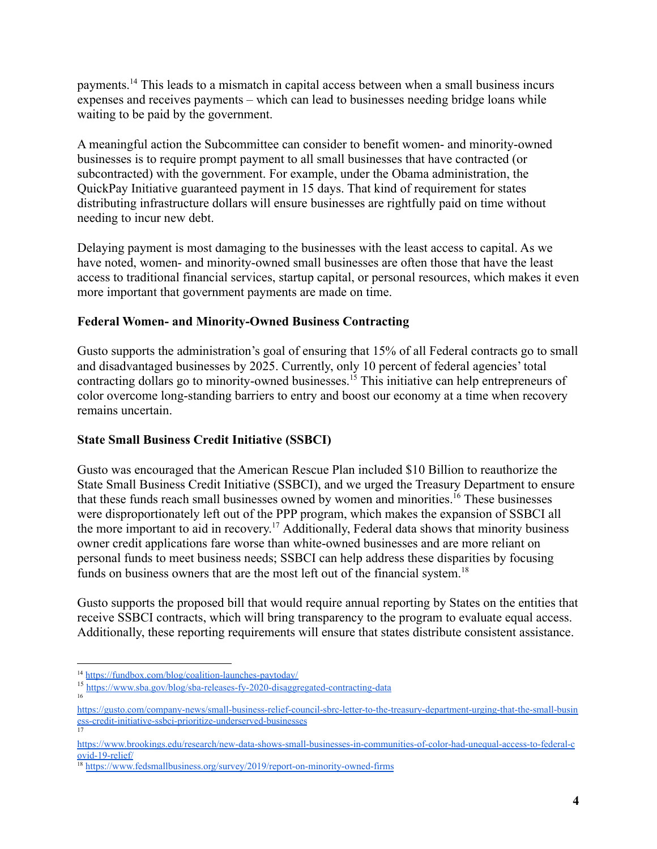payments.<sup>14</sup> This leads to a mismatch in capital access between when a small business incurs expenses and receives payments – which can lead to businesses needing bridge loans while waiting to be paid by the government.

A meaningful action the Subcommittee can consider to benefit women- and minority-owned businesses is to require prompt payment to all small businesses that have contracted (or subcontracted) with the government. For example, under the Obama administration, the QuickPay Initiative guaranteed payment in 15 days. That kind of requirement for states distributing infrastructure dollars will ensure businesses are rightfully paid on time without needing to incur new debt.

Delaying payment is most damaging to the businesses with the least access to capital. As we have noted, women- and minority-owned small businesses are often those that have the least access to traditional financial services, startup capital, or personal resources, which makes it even more important that government payments are made on time.

## **Federal Women- and Minority-Owned Business Contracting**

Gusto supports the administration's goal of ensuring that 15% of all Federal contracts go to small and disadvantaged businesses by 2025. Currently, only 10 percent of federal agencies' total contracting dollars go to minority-owned businesses.<sup>15</sup> This initiative can help entrepreneurs of color overcome long-standing barriers to entry and boost our economy at a time when recovery remains uncertain.

### **State Small Business Credit Initiative (SSBCI)**

Gusto was encouraged that the American Rescue Plan included \$10 Billion to reauthorize the State Small Business Credit Initiative (SSBCI), and we urged the Treasury Department to ensure that these funds reach small businesses owned by women and minorities.<sup>16</sup> These businesses were disproportionately left out of the PPP program, which makes the expansion of SSBCI all the more important to aid in recovery. <sup>17</sup> Additionally, Federal data shows that minority business owner credit applications fare worse than white-owned businesses and are more reliant on personal funds to meet business needs; SSBCI can help address these disparities by focusing funds on business owners that are the most left out of the financial system.<sup>18</sup>

Gusto supports the proposed bill that would require annual reporting by States on the entities that receive SSBCI contracts, which will bring transparency to the program to evaluate equal access. Additionally, these reporting requirements will ensure that states distribute consistent assistance.

16

<sup>14</sup> <https://fundbox.com/blog/coalition-launches-paytoday/>

<sup>15</sup> <https://www.sba.gov/blog/sba-releases-fy-2020-disaggregated-contracting-data>

<sup>17</sup> [ess-credit-initiative-ssbci-prioritize-underserved-businesses](https://gusto.com/company-news/small-business-relief-council-sbrc-letter-to-the-treasury-department-urging-that-the-small-business-credit-initiative-ssbci-prioritize-underserved-businesses) [https://gusto.com/company-news/small-business-relief-council-sbrc-letter-to-the-treasury-department-urging-that-the-small-busin](https://gusto.com/company-news/small-business-relief-council-sbrc-letter-to-the-treasury-department-urging-that-the-small-business-credit-initiative-ssbci-prioritize-underserved-businesses)

[https://www.brookings.edu/research/new-data-shows-small-businesses-in-communities-of-color-had-unequal-access-to-federal-c](https://www.brookings.edu/research/new-data-shows-small-businesses-in-communities-of-color-had-unequal-access-to-federal-covid-19-relief/) [ovid-19-relief/](https://www.brookings.edu/research/new-data-shows-small-businesses-in-communities-of-color-had-unequal-access-to-federal-covid-19-relief/)

<sup>&</sup>lt;sup>18</sup> <https://www.fedsmallbusiness.org/survey/2019/report-on-minority-owned-firms>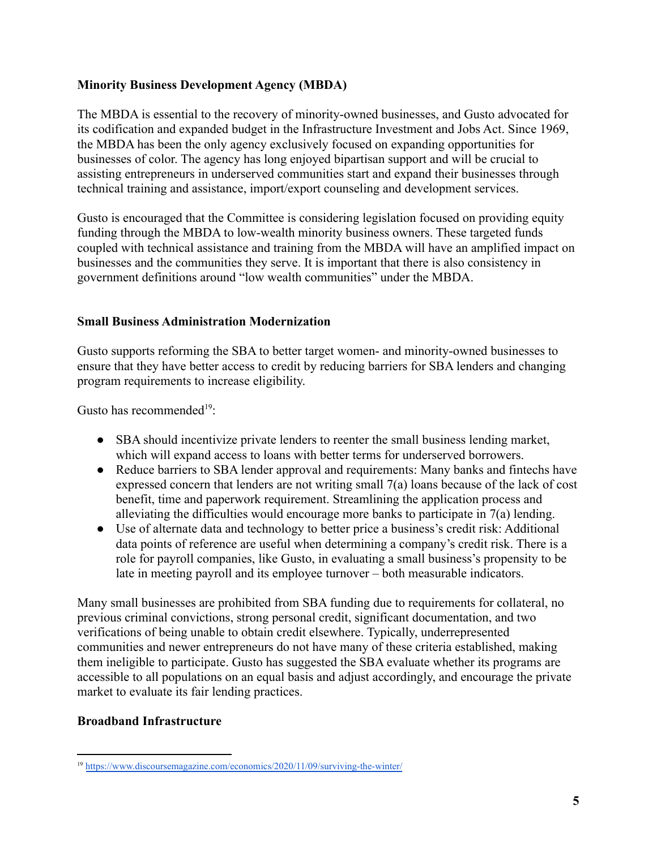### **Minority Business Development Agency (MBDA)**

The MBDA is essential to the recovery of minority-owned businesses, and Gusto advocated for its codification and expanded budget in the Infrastructure Investment and Jobs Act. Since 1969, the MBDA has been the only agency exclusively focused on expanding opportunities for businesses of color. The agency has long enjoyed bipartisan support and will be crucial to assisting entrepreneurs in underserved communities start and expand their businesses through technical training and assistance, import/export counseling and development services.

Gusto is encouraged that the Committee is considering legislation focused on providing equity funding through the MBDA to low-wealth minority business owners. These targeted funds coupled with technical assistance and training from the MBDA will have an amplified impact on businesses and the communities they serve. It is important that there is also consistency in government definitions around "low wealth communities" under the MBDA.

### **Small Business Administration Modernization**

Gusto supports reforming the SBA to better target women- and minority-owned businesses to ensure that they have better access to credit by reducing barriers for SBA lenders and changing program requirements to increase eligibility.

Gusto has recommended<sup>19</sup>:

- SBA should incentivize private lenders to reenter the small business lending market, which will expand access to loans with better terms for underserved borrowers.
- Reduce barriers to SBA lender approval and requirements: Many banks and fintechs have expressed concern that lenders are not writing small 7(a) loans because of the lack of cost benefit, time and paperwork requirement. Streamlining the application process and alleviating the difficulties would encourage more banks to participate in 7(a) lending.
- Use of alternate data and technology to better price a business's credit risk: Additional data points of reference are useful when determining a company's credit risk. There is a role for payroll companies, like Gusto, in evaluating a small business's propensity to be late in meeting payroll and its employee turnover – both measurable indicators.

Many small businesses are prohibited from SBA funding due to requirements for collateral, no previous criminal convictions, strong personal credit, significant documentation, and two verifications of being unable to obtain credit elsewhere. Typically, underrepresented communities and newer entrepreneurs do not have many of these criteria established, making them ineligible to participate. Gusto has suggested the SBA evaluate whether its programs are accessible to all populations on an equal basis and adjust accordingly, and encourage the private market to evaluate its fair lending practices.

# **Broadband Infrastructure**

<sup>19</sup> <https://www.discoursemagazine.com/economics/2020/11/09/surviving-the-winter/>